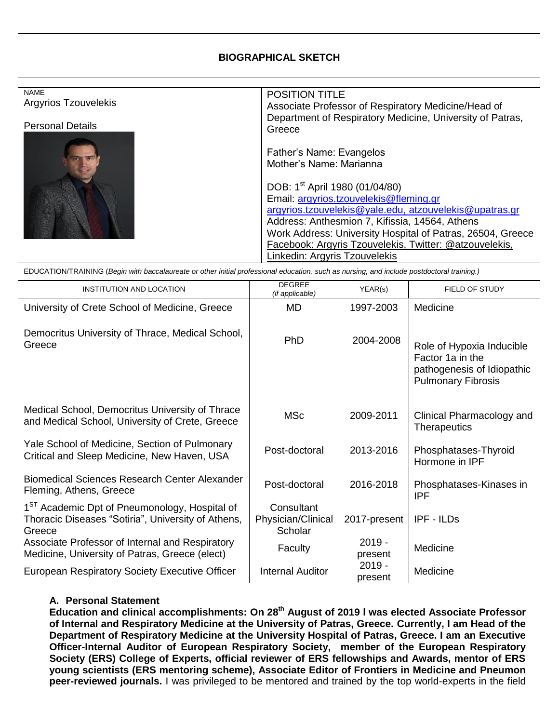## **BIOGRAPHICAL SKETCH**

| <b>NAME</b>             | <b>POSITION TITLE</b>                                      |  |
|-------------------------|------------------------------------------------------------|--|
| Argyrios Tzouvelekis    |                                                            |  |
|                         | Associate Professor of Respiratory Medicine/Head of        |  |
|                         | Department of Respiratory Medicine, University of Patras,  |  |
| <b>Personal Details</b> | Greece                                                     |  |
|                         |                                                            |  |
|                         |                                                            |  |
|                         | Father's Name: Evangelos                                   |  |
|                         | Mother's Name: Marianna                                    |  |
|                         |                                                            |  |
|                         |                                                            |  |
|                         | DOB: 1 <sup>st</sup> April 1980 (01/04/80)                 |  |
|                         | Email: argyrios.tzouvelekis@fleming.gr                     |  |
|                         |                                                            |  |
|                         | argyrios.tzouvelekis@yale.edu, atzouvelekis@upatras.gr     |  |
|                         | Address: Anthesmion 7, Kifissia, 14564, Athens             |  |
|                         | Work Address: University Hospital of Patras, 26504, Greece |  |
|                         |                                                            |  |
|                         | Facebook: Argyris Tzouvelekis, Twitter: @atzouvelekis,     |  |
|                         | Linkedin: Argyris Tzouvelekis                              |  |
|                         |                                                            |  |

EDUCATION/TRAINING (*Begin with baccalaureate or other initial professional education, such as nursing, and include postdoctoral training.)*

| <b>INSTITUTION AND LOCATION</b>                                                                                           | <b>DEGREE</b><br>(if applicable)            | YEAR(s)             | FIELD OF STUDY                                                                                           |
|---------------------------------------------------------------------------------------------------------------------------|---------------------------------------------|---------------------|----------------------------------------------------------------------------------------------------------|
| University of Crete School of Medicine, Greece                                                                            | MD                                          | 1997-2003           | Medicine                                                                                                 |
| Democritus University of Thrace, Medical School,<br>Greece                                                                | PhD                                         | 2004-2008           | Role of Hypoxia Inducible<br>Factor 1a in the<br>pathogenesis of Idiopathic<br><b>Pulmonary Fibrosis</b> |
| Medical School, Democritus University of Thrace<br>and Medical School, University of Crete, Greece                        | <b>MSc</b>                                  | 2009-2011           | Clinical Pharmacology and<br><b>Therapeutics</b>                                                         |
| Yale School of Medicine, Section of Pulmonary<br>Critical and Sleep Medicine, New Haven, USA                              | Post-doctoral                               | 2013-2016           | Phosphatases-Thyroid<br>Hormone in IPF                                                                   |
| <b>Biomedical Sciences Research Center Alexander</b><br>Fleming, Athens, Greece                                           | Post-doctoral                               | 2016-2018           | Phosphatases-Kinases in<br><b>IPF</b>                                                                    |
| 1 <sup>ST</sup> Academic Dpt of Pneumonology, Hospital of<br>Thoracic Diseases "Sotiria", University of Athens,<br>Greece | Consultant<br>Physician/Clinical<br>Scholar | 2017-present        | IPF - ILDs                                                                                               |
| Associate Professor of Internal and Respiratory<br>Medicine, University of Patras, Greece (elect)                         | Faculty                                     | $2019 -$<br>present | Medicine                                                                                                 |
| European Respiratory Society Executive Officer                                                                            | <b>Internal Auditor</b>                     | $2019 -$<br>present | Medicine                                                                                                 |

## **A. Personal Statement**

**Education and clinical accomplishments: On 28th August of 2019 Ι was elected Associate Professor of Internal and Respiratory Medicine at the University of Patras, Greece. Currently, Ι am Head of the Department of Respiratory Medicine at the University Hospital of Patras, Greece. I am an Executive Officer-Internal Auditor of European Respiratory Society, member of the European Respiratory Society (ERS) College of Experts, official reviewer of ERS fellowships and Awards, mentor of ERS young scientists (ERS mentoring scheme), Associate Editor of Frontiers in Medicine and Pneumon peer-reviewed journals.** I was privileged to be mentored and trained by the top world-experts in the field